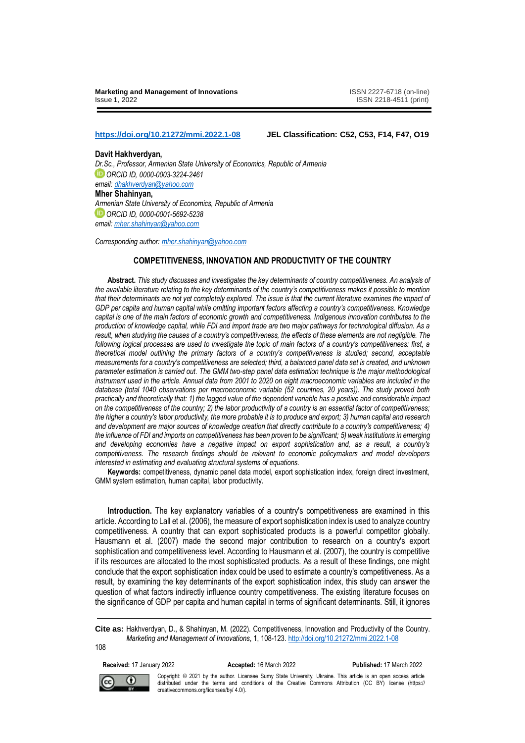**<https://doi.org/10.21272/mmi.2022.1-08> JEL Classification: [C52,](https://www.tandfonline.com/keyword/C52) [C53,](https://www.tandfonline.com/keyword/C53) [F14,](https://www.tandfonline.com/keyword/F14) [F47,](https://www.tandfonline.com/keyword/F47) [O19](https://www.tandfonline.com/keyword/O19)**

**Davit Hakhverdyan,** *Dr.Sc., Professor, Armenian State University of Economics, Republic of Armenia ORCID ID, 0000-0003-3224-2461 email[: dhakhverdyan@yahoo.com](mailto:dhakhverdyan@yahoo.com)* **Mher Shahinyan,** *Armenian State University of Economics, Republic of Armenia ORCID ID, 0000-0001-5692-5238 email[: mher.shahinyan@yahoo.com](mailto:mher.shahinyan@yahoo.com)*

*Corresponding author[: mher.shahinyan@yahoo.com](mailto:mher.shahinyan@yahoo.com)*

# **COMPETITIVENESS, INNOVATION AND PRODUCTIVITY OF THE COUNTRY**

**Abstract.** *This study discusses and investigates the key determinants of country competitiveness. An analysis of the available literature relating to the key determinants of the country's competitiveness makes it possible to mention that their determinants are not yet completely explored. The issue is that the current literature examines the impact of*  GDP per capita and human capital while omitting important factors affecting a country's competitiveness. Knowledge *capital is one of the main factors of economic growth and competitiveness. Indigenous innovation contributes to the production of knowledge capital, while FDI and import trade are two major pathways for technological diffusion. As a result, when studying the causes of a country's competitiveness, the effects of these elements are not negligible. The following logical processes are used to investigate the topic of main factors of a country's competitiveness: first, a theoretical model outlining the primary factors of a country's competitiveness is studied; second, acceptable measurements for a country's competitiveness are selected; third, a balanced panel data set is created, and unknown parameter estimation is carried out. The GMM two-step panel data estimation technique is the major methodological instrument used in the article. Annual data from 2001 to 2020 on eight macroeconomic variables are included in the database (total 1040 observations per macroeconomic variable (52 countries, 20 years)). The study proved both practically and theoretically that: 1) the lagged value of the dependent variable has a positive and considerable impact on the competitiveness of the country; 2) the labor productivity of a country is an essential factor of competitiveness; the higher a country's labor productivity, the more probable it is to produce and export; 3) human capital and research*  and development are major sources of knowledge creation that directly contribute to a country's competitiveness; 4) *the influence of FDI and imports on competitiveness has been proven to be significant; 5) weak institutions in emerging and developing economies have a negative impact on export sophistication and, as a result, a country's competitiveness. The research findings should be relevant to economic policymakers and model developers interested in estimating and evaluating structural systems of equations.*

**Keywords:** competitiveness, dynamic panel data model, export sophistication index, foreign direct investment, GMM system estimation, human capital, labor productivity.

Introduction. The key explanatory variables of a country's competitiveness are examined in this article. According to Lall et al. (2006), the measure of export sophistication index is used to analyze country competitiveness. A country that can export sophisticated products is a powerful competitor globally. Hausmann et al. (2007) made the second major contribution to research on a country's export sophistication and competitiveness level. According to Hausmann et al. (2007), the country is competitive if its resources are allocated to the most sophisticated products. As a result of these findings, one might conclude that the export sophistication index could be used to estimate a country's competitiveness. As a result, by examining the key determinants of the export sophistication index, this study can answer the question of what factors indirectly influence country competitiveness. The existing literature focuses on the significance of GDP per capita and human capital in terms of significant determinants. Still, it ignores

**Cite as:** Hakhverdyan, D., & Shahinyan, M. (2022). Competitiveness, Innovation and Productivity of the Country. *Marketing and Management of Innovations*, 1, 108-123[. http://doi.org/10.21272/mmi.2022.1-08](http://doi.org/10.21272/mmi.2022.1-08)

108

#### **Received:** 17 January 2022 **Accepted:** 16 March 2022 **Published:** 17 March 2022



Copyright: © 2021 by the author. Licensee Sumy State University, Ukraine. This article is an open access article distributed under the terms and conditions of the Creative Commons Attribution (CC BY) license (https:// creativecommons.org/licenses/by/ 4.0/).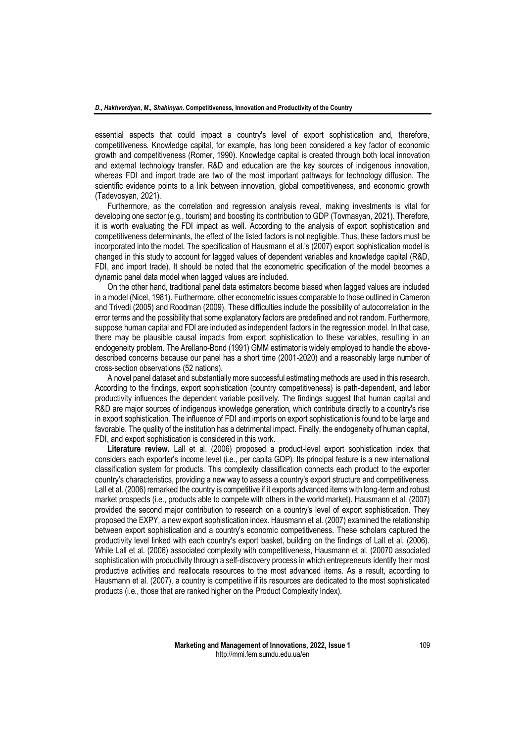essential aspects that could impact a country's level of export sophistication and, therefore, competitiveness. Knowledge capital, for example, has long been considered a key factor of economic growth and competitiveness (Romer, 1990). Knowledge capital is created through both local innovation and external technology transfer. R&D and education are the key sources of indigenous innovation, whereas FDI and import trade are two of the most important pathways for technology diffusion. The scientific evidence points to a link between innovation, global competitiveness, and economic growth (Tadevosyan, 2021).

Furthermore, as the correlation and regression analysis reveal, making investments is vital for developing one sector (e.g., tourism) and boosting its contribution to GDP (Tovmasyan, 2021). Therefore, it is worth evaluating the FDI impact as well. According to the analysis of export sophistication and competitiveness determinants, the effect of the listed factors is not negligible. Thus, these factors must be incorporated into the model. The specification of Hausmann et al.'s (2007) export sophistication model is changed in this study to account for lagged values of dependent variables and knowledge capital (R&D, FDI, and import trade). It should be noted that the econometric specification of the model becomes a dynamic panel data model when lagged values are included.

On the other hand, traditional panel data estimators become biased when lagged values are included in a model (Nicel, 1981). Furthermore, other econometric issues comparable to those outlined in Cameron and Trivedi (2005) and Roodman (2009). These difficulties include the possibility of autocorrelation in the error terms and the possibility that some explanatory factors are predefined and not random. Furthermore, suppose human capital and FDI are included as independent factors in the regression model. In that case, there may be plausible causal impacts from export sophistication to these variables, resulting in an endogeneity problem. The Arellano-Bond (1991) GMM estimator is widely employed to handle the abovedescribed concerns because our panel has a short time (2001-2020) and a reasonably large number of cross-section observations (52 nations).

A novel panel dataset and substantially more successful estimating methods are used in this research. According to the findings, export sophistication (country competitiveness) is path-dependent, and labor productivity influences the dependent variable positively. The findings suggest that human capital and R&D are major sources of indigenous knowledge generation, which contribute directly to a country's rise in export sophistication. The influence of FDI and imports on export sophistication is found to be large and favorable. The quality of the institution has a detrimental impact. Finally, the endogeneity of human capital, FDI, and export sophistication is considered in this work.

**Literature review.** Lall et al. (2006) proposed a product-level export sophistication index that considers each exporter's income level (i.e., per capita GDP). Its principal feature is a new international classification system for products. This complexity classification connects each product to the exporter country's characteristics, providing a new way to assess a country's export structure and competitiveness. Lall et al. (2006) remarked the country is competitive if it exports advanced items with long-term and robust market prospects (i.e., products able to compete with others in the world market). Hausmann et al. (2007) provided the second major contribution to research on a country's level of export sophistication. They proposed the EXPY, a new export sophistication index. Hausmann et al. (2007) examined the relationship between export sophistication and a country's economic competitiveness. These scholars captured the productivity level linked with each country's export basket, building on the findings of Lall et al. (2006). While Lall et al. (2006) associated complexity with competitiveness, Hausmann et al. (20070 associated sophistication with productivity through a self-discovery process in which entrepreneurs identify their most productive activities and reallocate resources to the most advanced items. As a result, according to Hausmann et al. (2007), a country is competitive if its resources are dedicated to the most sophisticated products (i.e., those that are ranked higher on the Product Complexity Index).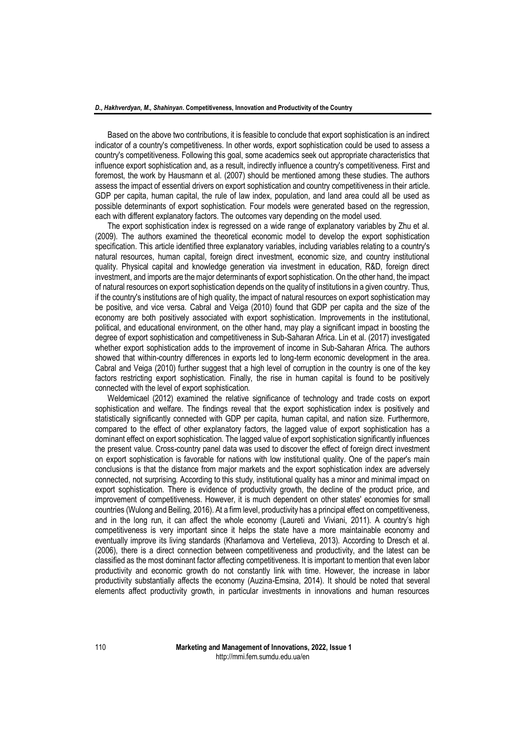Based on the above two contributions, it is feasible to conclude that export sophistication is an indirect indicator of a country's competitiveness. In other words, export sophistication could be used to assess a country's competitiveness. Following this goal, some academics seek out appropriate characteristics that influence export sophistication and, as a result, indirectly influence a country's competitiveness. First and foremost, the work by Hausmann et al. (2007) should be mentioned among these studies. The authors assess the impact of essential drivers on export sophistication and country competitiveness in their article. GDP per capita, human capital, the rule of law index, population, and land area could all be used as possible determinants of export sophistication. Four models were generated based on the regression, each with different explanatory factors. The outcomes vary depending on the model used.

The export sophistication index is regressed on a wide range of explanatory variables by Zhu et al. (2009). The authors examined the theoretical economic model to develop the export sophistication specification. This article identified three explanatory variables, including variables relating to a country's natural resources, human capital, foreign direct investment, economic size, and country institutional quality. Physical capital and knowledge generation via investment in education, R&D, foreign direct investment, and imports are the major determinants of export sophistication. On the other hand, the impact of natural resources on export sophistication depends on the quality of institutions in a given country. Thus, if the country's institutions are of high quality, the impact of natural resources on export sophistication may be positive, and vice versa. Cabral and Veiga (2010) found that GDP per capita and the size of the economy are both positively associated with export sophistication. Improvements in the institutional, political, and educational environment, on the other hand, may play a significant impact in boosting the degree of export sophistication and competitiveness in Sub-Saharan Africa. Lin et al. (2017) investigated whether export sophistication adds to the improvement of income in Sub-Saharan Africa. The authors showed that within-country differences in exports led to long-term economic development in the area. Cabral and Veiga (2010) further suggest that a high level of corruption in the country is one of the key factors restricting export sophistication. Finally, the rise in human capital is found to be positively connected with the level of export sophistication.

Weldemicael (2012) examined the relative significance of technology and trade costs on export sophistication and welfare. The findings reveal that the export sophistication index is positively and statistically significantly connected with GDP per capita, human capital, and nation size. Furthermore, compared to the effect of other explanatory factors, the lagged value of export sophistication has a dominant effect on export sophistication. The lagged value of export sophistication significantly influences the present value. Cross-country panel data was used to discover the effect of foreign direct investment on export sophistication is favorable for nations with low institutional quality. One of the paper's main conclusions is that the distance from major markets and the export sophistication index are adversely connected, not surprising. According to this study, institutional quality has a minor and minimal impact on export sophistication. There is evidence of productivity growth, the decline of the product price, and improvement of competitiveness. However, it is much dependent on other states' economies for small countries (Wulong and Beiling, 2016). At a firm level, productivity has a principal effect on competitiveness, and in the long run, it can affect the whole economy (Laureti and Viviani, 2011). A country's high competitiveness is very important since it helps the state have a more maintainable economy and eventually improve its living standards (Kharlamova and Vertelieva, 2013). According to Dresch et al. (2006), there is a direct connection between competitiveness and productivity, and the latest can be classified as the most dominant factor affecting competitiveness. It is important to mention that even labor productivity and economic growth do not constantly link with time. However, the increase in labor productivity substantially affects the economy (Auzina-Emsina, 2014). It should be noted that several elements affect productivity growth, in particular investments in innovations and human resources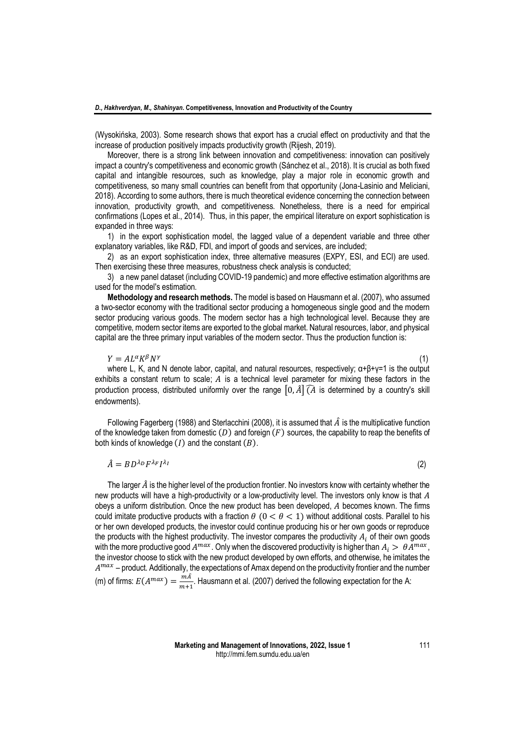(Wysokińska, 2003). Some research shows that export has a crucial effect on productivity and that the increase of production positively impacts productivity growth (Rijesh, 2019).

Moreover, there is a strong link between innovation and competitiveness: innovation can positively impact a country's competitiveness and economic growth (Sánchez et al., 2018). It is crucial as both fixed capital and intangible resources, such as knowledge, play a major role in economic growth and competitiveness, so many small countries can benefit from that opportunity (Jona-Lasinio and Meliciani, 2018). According to some authors, there is much theoretical evidence concerning the connection between innovation, productivity growth, and competitiveness. Nonetheless, there is a need for empirical confirmations (Lopes et al., 2014). Thus, in this paper, the empirical literature on export sophistication is expanded in three ways:

1) in the export sophistication model, the lagged value of a dependent variable and three other explanatory variables, like R&D, FDI, and import of goods and services, are included;

2) as an export sophistication index, three alternative measures (EXPY, ESI, and ECI) are used. Then exercising these three measures, robustness check analysis is conducted;

3) a new panel dataset (including COVID-19 pandemic) and more effective estimation algorithms are used for the model's estimation.

**Methodology and research methods.** The model is based on Hausmann et al. (2007), who assumed a two-sector economy with the traditional sector producing a homogeneous single good and the modern sector producing various goods. The modern sector has a high technological level. Because they are competitive, modern sector items are exported to the global market. Natural resources, labor, and physical capital are the three primary input variables of the modern sector. Thus the production function is:

 $Y = A L^{\alpha} K^{\beta} N^{\gamma}$ (1)

where L, K, and N denote labor, capital, and natural resources, respectively;  $\alpha+\beta+\gamma=1$  is the output exhibits a constant return to scale;  $A$  is a technical level parameter for mixing these factors in the production process, distributed uniformly over the range  $[0, \hat{A}]$  ( $\hat{A}$  is determined by a country's skill endowments).

Following Fagerberg (1988) and Sterlacchini (2008), it is assumed that  $\hat{A}$  is the multiplicative function of the knowledge taken from domestic  $(D)$  and foreign  $(F)$  sources, the capability to reap the benefits of both kinds of knowledge  $(I)$  and the constant  $(B)$ .

$$
\hat{A} = BD^{\lambda_D} F^{\lambda_F} I^{\lambda_I}
$$
 (2)

The larger  $\hat{A}$  is the higher level of the production frontier. No investors know with certainty whether the new products will have a high-productivity or a low-productivity level. The investors only know is that A obeys a uniform distribution. Once the new product has been developed,  $A$  becomes known. The firms could imitate productive products with a fraction  $\theta$  ( $0 < \theta < 1$ ) without additional costs. Parallel to his or her own developed products, the investor could continue producing his or her own goods or reproduce the products with the highest productivity. The investor compares the productivity  $A_i$ , of their own goods with the more productive good  $A^{max}$ . Only when the discovered productivity is higher than  $A_i > \ \theta A^{max},$ the investor choose to stick with the new product developed by own efforts, and otherwise, he imitates the  $A^{max}$  – product. Additionally, the expectations of Amax depend on the productivity frontier and the number (m) of firms:  $E(A^{max}) = \frac{m\hat{A}}{m\hat{B}}$  $\frac{m}{m+1}$ . Hausmann et al. (2007) derived the following expectation for the A: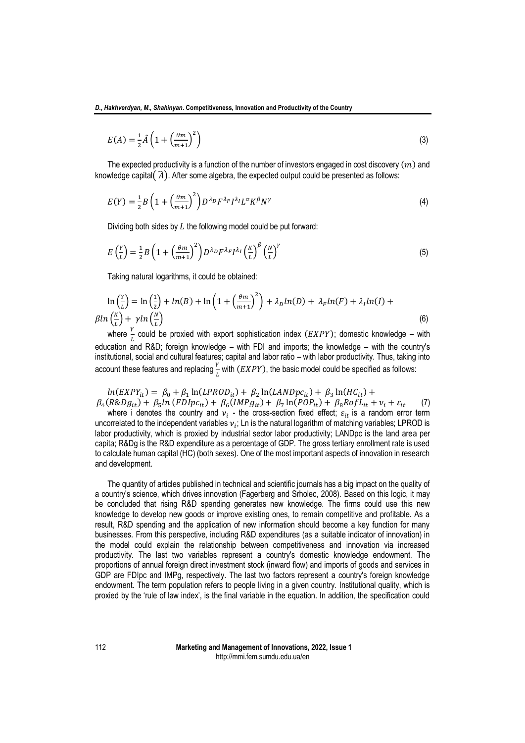$$
E(A) = \frac{1}{2}\hat{A}\left(1 + \left(\frac{\theta m}{m+1}\right)^2\right) \tag{3}
$$

The expected productivity is a function of the number of investors engaged in cost discovery  $(m)$  and knowledge capital( $\hat{A}$ ). After some algebra, the expected output could be presented as follows:

$$
E(Y) = \frac{1}{2}B\left(1 + \left(\frac{\theta m}{m+1}\right)^2\right)D^{\lambda_D}F^{\lambda_F}I^{\lambda_I}L^{\alpha}K^{\beta}N^{\gamma}
$$
\n(4)

Dividing both sides by  $L$  the following model could be put forward:

$$
E\left(\frac{Y}{L}\right) = \frac{1}{2}B\left(1 + \left(\frac{\theta m}{m+1}\right)^2\right)D^{\lambda_D}F^{\lambda_F}I^{\lambda_I}\left(\frac{K}{L}\right)^{\beta}\left(\frac{N}{L}\right)^{\gamma}
$$
(5)

Taking natural logarithms, it could be obtained:

$$
\ln\left(\frac{Y}{L}\right) = \ln\left(\frac{1}{2}\right) + \ln(B) + \ln\left(1 + \left(\frac{\theta m}{m+1}\right)^2\right) + \lambda_D \ln(D) + \lambda_F \ln(F) + \lambda_I \ln(I) + \beta \ln\left(\frac{K}{L}\right) + \gamma \ln\left(\frac{N}{L}\right)
$$
\n(6)

where  $\frac{Y}{L}$  could be proxied with export sophistication index  $(EXPY)$ ; domestic knowledge – with education and R&D; foreign knowledge – with FDI and imports; the knowledge – with the country's institutional, social and cultural features; capital and labor ratio – with labor productivity. Thus, taking into account these features and replacing  $\frac{Y}{L}$  with  $(EXPY)$ , the basic model could be specified as follows:

 $ln(EXPY_{it}) = \beta_0 + \beta_1 ln(LPROD_{it}) + \beta_2 ln(LANDpc_{it}) + \beta_3 ln(HC_{it}) +$  $\beta_4 (R \& D g_{it}) + \beta_5 ln (FD l p c_{it}) + \beta_6 (IMP g_{it}) + \beta_7 ln (PO P_{it}) + \beta_8 R o f L_{it} + v_i + \varepsilon_{it}$  (7)

where i denotes the country and  $v_i$  - the cross-section fixed effect;  $\varepsilon_{it}$  is a random error term uncorrelated to the independent variables  $v_i$ ; Ln is the natural logarithm of matching variables; LPROD is labor productivity, which is proxied by industrial sector labor productivity; LANDpc is the land area per capita; R&Dg is the R&D expenditure as a percentage of GDP. The gross tertiary enrollment rate is used to calculate human capital (HC) (both sexes). One of the most important aspects of innovation in research and development.

The quantity of articles published in technical and scientific journals has a big impact on the quality of a country's science, which drives innovation (Fagerberg and Srholec, 2008). Based on this logic, it may be concluded that rising R&D spending generates new knowledge. The firms could use this new knowledge to develop new goods or improve existing ones, to remain competitive and profitable. As a result, R&D spending and the application of new information should become a key function for many businesses. From this perspective, including R&D expenditures (as a suitable indicator of innovation) in the model could explain the relationship between competitiveness and innovation via increased productivity. The last two variables represent a country's domestic knowledge endowment. The proportions of annual foreign direct investment stock (inward flow) and imports of goods and services in GDP are FDIpc and IMPg, respectively. The last two factors represent a country's foreign knowledge endowment. The term population refers to people living in a given country. Institutional quality, which is proxied by the 'rule of law index', is the final variable in the equation. In addition, the specification could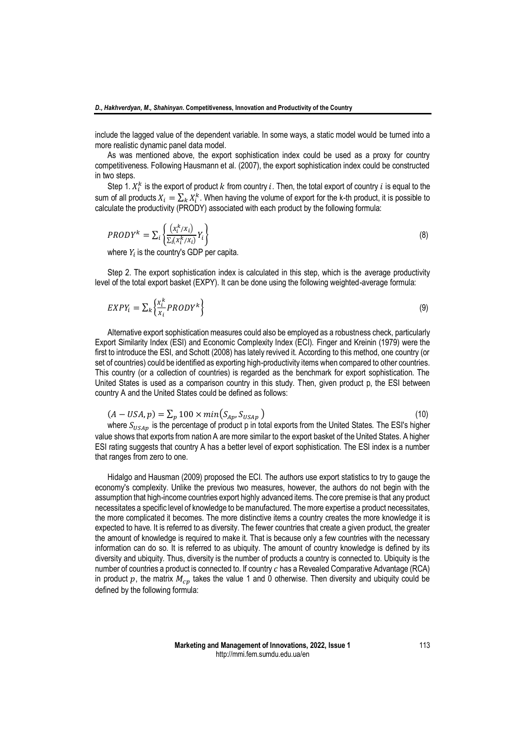include the lagged value of the dependent variable. In some ways, a static model would be turned into a more realistic dynamic panel data model.

As was mentioned above, the export sophistication index could be used as a proxy for country competitiveness. Following Hausmann et al. (2007), the export sophistication index could be constructed in two steps.

Step 1.  $X_i^k$  is the export of product k from country i. Then, the total export of country i is equal to the sum of all products  $X_i = \sum_k X_i^k$ . When having the volume of export for the k-th product, it is possible to calculate the productivity (PRODY) associated with each product by the following formula:

$$
PRODY^{k} = \sum_{i} \left\{ \frac{(x_i^{k}/x_i)}{\sum_{i}(x_i^{k}/x_i)} Y_i \right\}
$$
\n(8)

where  $Y_i$  is the country's GDP per capita.

Step 2. The export sophistication index is calculated in this step, which is the average productivity level of the total export basket (EXPY). It can be done using the following weighted-average formula:

$$
EXPY_i = \sum_{k} \left\{ \frac{X_i^k}{X_i} PRODY^k \right\} \tag{9}
$$

Alternative export sophistication measures could also be employed as a robustness check, particularly Export Similarity Index (ESI) and Economic Complexity Index (ECI). Finger and Kreinin (1979) were the first to introduce the ESI, and Schott (2008) has lately revived it. According to this method, one country (or set of countries) could be identified as exporting high-productivity items when compared to other countries. This country (or a collection of countries) is regarded as the benchmark for export sophistication. The United States is used as a comparison country in this study. Then, given product p, the ESI between country A and the United States could be defined as follows:

$$
(A - USA, p) = \sum_{p} 100 \times min(S_{Ap}, S_{USAp})
$$
\n
$$
(10)
$$

where  $S_{USAp}$  is the percentage of product p in total exports from the United States. The ESI's higher value shows that exports from nation A are more similar to the export basket of the United States. A higher ESI rating suggests that country A has a better level of export sophistication. The ESI index is a number that ranges from zero to one.

Hidalgo and Hausman (2009) proposed the ECI. The authors use export statistics to try to gauge the economy's complexity. Unlike the previous two measures, however, the authors do not begin with the assumption that high-income countries export highly advanced items. The core premise is that any product necessitates a specific level of knowledge to be manufactured. The more expertise a product necessitates, the more complicated it becomes. The more distinctive items a country creates the more knowledge it is expected to have. It is referred to as diversity. The fewer countries that create a given product, the greater the amount of knowledge is required to make it. That is because only a few countries with the necessary information can do so. It is referred to as ubiquity. The amount of country knowledge is defined by its diversity and ubiquity. Thus, diversity is the number of products a country is connected to. Ubiquity is the number of countries a product is connected to. If country  $c$  has a Revealed Comparative Advantage (RCA) in product  $p$ , the matrix  $M_{cr}$  takes the value 1 and 0 otherwise. Then diversity and ubiquity could be defined by the following formula: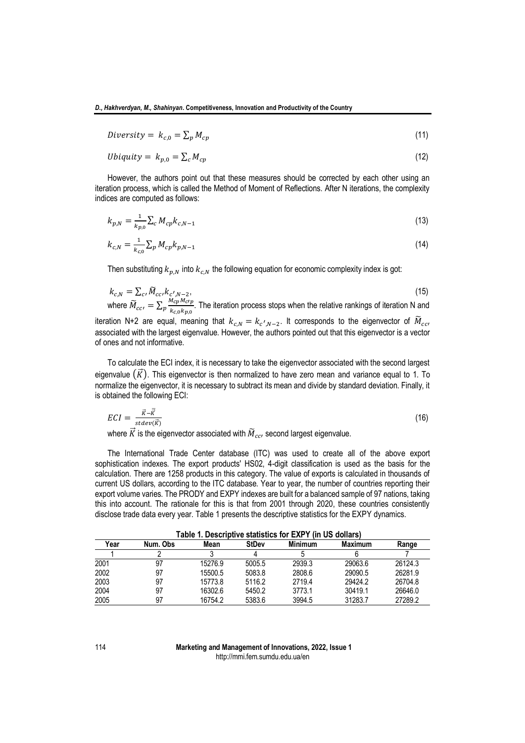$$
Diversity = k_{c,0} = \sum_{p} M_{cp} \tag{11}
$$

$$
Ubiquity = k_{p,0} = \sum_{c} M_{cp} \tag{12}
$$

However, the authors point out that these measures should be corrected by each other using an iteration process, which is called the Method of Moment of Reflections. After N iterations, the complexity indices are computed as follows:

$$
k_{p,N} = \frac{1}{k_{p,0}} \sum_{c} M_{cp} k_{c,N-1}
$$
\n(13)

$$
k_{c,N} = \frac{1}{k_{c,0}} \sum_{p} M_{cp} k_{p,N-1}
$$
\n(14)

Then substituting  $k_{n,N}$  into  $k_{c,N}$  the following equation for economic complexity index is got:

$$
k_{c,N} = \sum_{c} \widetilde{M}_{cc} k_{c',N-2},
$$
\n<sup>(15)</sup>

where  $\widetilde{M}_{cc'} = \sum_{p} \frac{M_{cp} M_{c'p}}{k_{cr} k_{cr} k_{cr}}$  $\frac{m_{CP}m_{CP}}{k_{C,0}k_{D,0}}$ . The iteration process stops when the relative rankings of iteration N and

iteration N+2 are equal, meaning that  $k_{c,N} = k_{c',N-2}$ . It corresponds to the eigenvector of  $\widetilde{M}_{cc'}$ associated with the largest eigenvalue. However, the authors pointed out that this eigenvector is a vector of ones and not informative.

To calculate the ECI index, it is necessary to take the eigenvector associated with the second largest eigenvalue  $(\vec{K})$ . This eigenvector is then normalized to have zero mean and variance equal to 1. To normalize the eigenvector, it is necessary to subtract its mean and divide by standard deviation. Finally, it is obtained the following ECI:

$$
ECI = \frac{\vec{\kappa} - \bar{\vec{\kappa}}}{stack(\vec{\kappa})}
$$
 (16)

where  $\vec{K}$  is the eigenvector associated with  $\widetilde{M}_{cc'}$  second largest eigenvalue.

The International Trade Center database (ITC) was used to create all of the above export sophistication indexes. The export products' HS02, 4-digit classification is used as the basis for the calculation. There are 1258 products in this category. The value of exports is calculated in thousands of current US dollars, according to the ITC database. Year to year, the number of countries reporting their export volume varies. The PRODY and EXPY indexes are built for a balanced sample of 97 nations, taking this into account. The rationale for this is that from 2001 through 2020, these countries consistently disclose trade data every year. Table 1 presents the descriptive statistics for the EXPY dynamics.

| Table 1. Descriptive statistics for EXPY (in US dollars) |          |         |              |                |                |         |  |  |
|----------------------------------------------------------|----------|---------|--------------|----------------|----------------|---------|--|--|
| Year                                                     | Num. Obs | Mean    | <b>StDev</b> | <b>Minimum</b> | <b>Maximum</b> | Range   |  |  |
|                                                          |          |         |              |                |                |         |  |  |
| 2001                                                     | 97       | 15276.9 | 5005.5       | 2939.3         | 29063.6        | 26124.3 |  |  |
| 2002                                                     | 97       | 15500.5 | 5083.8       | 2808.6         | 29090.5        | 26281.9 |  |  |
| 2003                                                     | 97       | 15773.8 | 5116.2       | 2719.4         | 29424.2        | 26704.8 |  |  |
| 2004                                                     | 97       | 16302.6 | 5450.2       | 3773.1         | 30419.1        | 26646.0 |  |  |
| 2005                                                     | 97       | 16754.2 | 5383.6       | 3994.5         | 31283.7        | 27289.2 |  |  |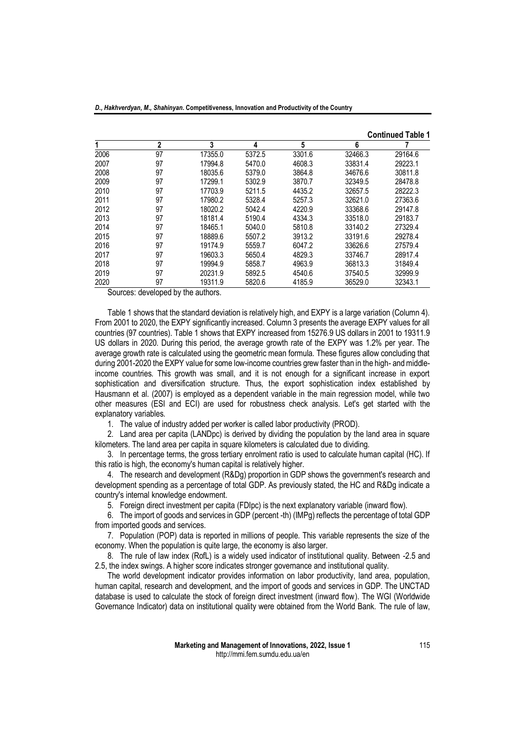| 2<br>3<br>5<br>6<br>4<br>2006<br>97<br>3301.6<br>32466.3<br>29164.6<br>17355.0<br>5372.5<br>2007<br>97<br>17994.8<br>4608.3<br>33831.4<br>29223.1<br>5470.0<br>97<br>2008<br>18035.6<br>3864.8<br>34676.6<br>30811.8<br>5379.0<br>97<br>17299.1<br>2009<br>5302.9<br>32349.5<br>28478.8<br>3870.7<br>97<br>4435.2<br>2010<br>17703.9<br>32657.5<br>28222.3<br>5211.5<br>97<br>2011<br>17980.2<br>32621.0<br>27363.6<br>5328.4<br>5257.3<br>97<br>2012<br>18020.2<br>4220.9<br>33368.6<br>5042.4<br>29147.8<br>97<br>2013<br>18181.4<br>4334.3<br>33518.0<br>29183.7<br>5190.4<br>97<br>2014<br>18465.1<br>33140.2<br>27329.4<br>5040.0<br>5810.8<br>97<br>2015<br>18889.6<br>33191.6<br>29278.4<br>3913.2<br>5507.2<br>97<br>2016<br>19174.9<br>33626.6<br>6047.2<br>27579.4<br>5559.7<br>97<br>19603.3<br>4829.3<br>2017<br>5650.4<br>33746.7<br>28917.4<br>97<br>2018<br>19994.9<br>4963.9<br>36813.3<br>31849.4<br>5858.7<br>97<br>2019<br>20231.9<br>4540.6<br>32999.9<br>5892.5<br>37540.5 |  |  |  | <b>Continued Table 1</b> |
|-------------------------------------------------------------------------------------------------------------------------------------------------------------------------------------------------------------------------------------------------------------------------------------------------------------------------------------------------------------------------------------------------------------------------------------------------------------------------------------------------------------------------------------------------------------------------------------------------------------------------------------------------------------------------------------------------------------------------------------------------------------------------------------------------------------------------------------------------------------------------------------------------------------------------------------------------------------------------------------------------|--|--|--|--------------------------|
|                                                                                                                                                                                                                                                                                                                                                                                                                                                                                                                                                                                                                                                                                                                                                                                                                                                                                                                                                                                                 |  |  |  |                          |
|                                                                                                                                                                                                                                                                                                                                                                                                                                                                                                                                                                                                                                                                                                                                                                                                                                                                                                                                                                                                 |  |  |  |                          |
|                                                                                                                                                                                                                                                                                                                                                                                                                                                                                                                                                                                                                                                                                                                                                                                                                                                                                                                                                                                                 |  |  |  |                          |
|                                                                                                                                                                                                                                                                                                                                                                                                                                                                                                                                                                                                                                                                                                                                                                                                                                                                                                                                                                                                 |  |  |  |                          |
|                                                                                                                                                                                                                                                                                                                                                                                                                                                                                                                                                                                                                                                                                                                                                                                                                                                                                                                                                                                                 |  |  |  |                          |
|                                                                                                                                                                                                                                                                                                                                                                                                                                                                                                                                                                                                                                                                                                                                                                                                                                                                                                                                                                                                 |  |  |  |                          |
|                                                                                                                                                                                                                                                                                                                                                                                                                                                                                                                                                                                                                                                                                                                                                                                                                                                                                                                                                                                                 |  |  |  |                          |
|                                                                                                                                                                                                                                                                                                                                                                                                                                                                                                                                                                                                                                                                                                                                                                                                                                                                                                                                                                                                 |  |  |  |                          |
|                                                                                                                                                                                                                                                                                                                                                                                                                                                                                                                                                                                                                                                                                                                                                                                                                                                                                                                                                                                                 |  |  |  |                          |
|                                                                                                                                                                                                                                                                                                                                                                                                                                                                                                                                                                                                                                                                                                                                                                                                                                                                                                                                                                                                 |  |  |  |                          |
|                                                                                                                                                                                                                                                                                                                                                                                                                                                                                                                                                                                                                                                                                                                                                                                                                                                                                                                                                                                                 |  |  |  |                          |
|                                                                                                                                                                                                                                                                                                                                                                                                                                                                                                                                                                                                                                                                                                                                                                                                                                                                                                                                                                                                 |  |  |  |                          |
|                                                                                                                                                                                                                                                                                                                                                                                                                                                                                                                                                                                                                                                                                                                                                                                                                                                                                                                                                                                                 |  |  |  |                          |
|                                                                                                                                                                                                                                                                                                                                                                                                                                                                                                                                                                                                                                                                                                                                                                                                                                                                                                                                                                                                 |  |  |  |                          |
|                                                                                                                                                                                                                                                                                                                                                                                                                                                                                                                                                                                                                                                                                                                                                                                                                                                                                                                                                                                                 |  |  |  |                          |
| 97<br>2020<br>19311.9<br>4185.9<br>36529.0<br>32343.1<br>5820.6<br>∽<br>$\cdots$                                                                                                                                                                                                                                                                                                                                                                                                                                                                                                                                                                                                                                                                                                                                                                                                                                                                                                                |  |  |  |                          |

Sources: developed by the authors.

Table 1 shows that the standard deviation is relatively high, and EXPY is a large variation (Column 4). From 2001 to 2020, the EXPY significantly increased. Column 3 presents the average EXPY values for all countries (97 countries). Table 1 shows that EXPY increased from 15276.9 US dollars in 2001 to 19311.9 US dollars in 2020. During this period, the average growth rate of the EXPY was 1.2% per year. The average growth rate is calculated using the geometric mean formula. These figures allow concluding that during 2001-2020 the EXPY value for some low-income countries grew faster than in the high- and middleincome countries. This growth was small, and it is not enough for a significant increase in export sophistication and diversification structure. Thus, the export sophistication index established by Hausmann et al. (2007) is employed as a dependent variable in the main regression model, while two other measures (ESI and ECI) are used for robustness check analysis. Let's get started with the explanatory variables.

1. The value of industry added per worker is called labor productivity (PROD).

2. Land area per capita (LANDpc) is derived by dividing the population by the land area in square kilometers. The land area per capita in square kilometers is calculated due to dividing.

3. In percentage terms, the gross tertiary enrolment ratio is used to calculate human capital (HC). If this ratio is high, the economy's human capital is relatively higher.

4. The research and development (R&Dg) proportion in GDP shows the government's research and development spending as a percentage of total GDP. As previously stated, the HC and R&Dg indicate a country's internal knowledge endowment.

5. Foreign direct investment per capita (FDIpc) is the next explanatory variable (inward flow).

6. The import of goods and services in GDP (percent -th) (IMPg) reflects the percentage of total GDP from imported goods and services.

7. Population (POP) data is reported in millions of people. This variable represents the size of the economy. When the population is quite large, the economy is also larger.

8. The rule of law index (RofL) is a widely used indicator of institutional quality. Between -2.5 and 2.5, the index swings. A higher score indicates stronger governance and institutional quality.

The world development indicator provides information on labor productivity, land area, population, human capital, research and development, and the import of goods and services in GDP. The UNCTAD database is used to calculate the stock of foreign direct investment (inward flow). The WGI (Worldwide Governance Indicator) data on institutional quality were obtained from the World Bank. The rule of law,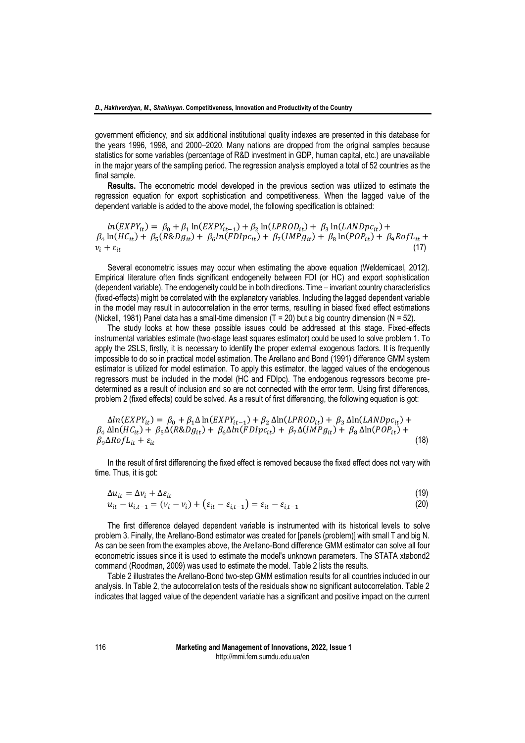government efficiency, and six additional institutional quality indexes are presented in this database for the years 1996, 1998, and 2000–2020. Many nations are dropped from the original samples because statistics for some variables (percentage of R&D investment in GDP, human capital, etc.) are unavailable in the major years of the sampling period. The regression analysis employed a total of 52 countries as the final sample.

**Results.** The econometric model developed in the previous section was utilized to estimate the regression equation for export sophistication and competitiveness. When the lagged value of the dependent variable is added to the above model, the following specification is obtained:

 $ln(EXPY_{it}) = \beta_0 + \beta_1 ln(EXPY_{it-1}) + \beta_2 ln(LPROD_{it}) + \beta_3 ln(LANDpc_{it}) +$  $\beta_4 \ln(HC_{it}) + \beta_5 (R\&Dg_{it}) + \beta_6 \ln(FDIpc_{it}) + \beta_7 (IMPg_{it}) + \beta_8 \ln(POP_{it}) + \beta_9 RofL_{it} +$  $v_i + \varepsilon_{it}$  (17)

Several econometric issues may occur when estimating the above equation (Weldemicael, 2012). Empirical literature often finds significant endogeneity between FDI (or HC) and export sophistication (dependent variable). The endogeneity could be in both directions. Time – invariant country characteristics (fixed-effects) might be correlated with the explanatory variables. Including the lagged dependent variable in the model may result in autocorrelation in the error terms, resulting in biased fixed effect estimations (Nickell, 1981) Panel data has a small-time dimension (T = 20) but a big country dimension (N = 52).

The study looks at how these possible issues could be addressed at this stage. Fixed-effects instrumental variables estimate (two-stage least squares estimator) could be used to solve problem 1. To apply the 2SLS, firstly, it is necessary to identify the proper external exogenous factors. It is frequently impossible to do so in practical model estimation. The Arellano and Bond (1991) difference GMM system estimator is utilized for model estimation. To apply this estimator, the lagged values of the endogenous regressors must be included in the model (HC and FDIpc). The endogenous regressors become predetermined as a result of inclusion and so are not connected with the error term. Using first differences, problem 2 (fixed effects) could be solved. As a result of first differencing, the following equation is got:

 $\Delta ln(EXPY_{it}) = \beta_0 + \beta_1 \Delta ln(EXPY_{it-1}) + \beta_2 \Delta ln(LPROD_{it}) + \beta_3 \Delta ln(LANDpc_{it}) +$  $\beta_4 \Delta \ln(H C_{it}) + \beta_5 \Delta(R \& D g_{it}) + \beta_6 \Delta \ln(F D I p c_{it}) + \beta_7 \Delta(IM P g_{it}) + \beta_8 \Delta \ln(P O P_{it}) +$  $\beta_9 \Delta R \sigma f L_{it} + \varepsilon_{it}$  (18)

In the result of first differencing the fixed effect is removed because the fixed effect does not vary with time. Thus, it is got:

$$
\Delta u_{it} = \Delta v_i + \Delta \varepsilon_{it} \tag{19}
$$

$$
u_{it} - u_{i,t-1} = (v_i - v_i) + (\varepsilon_{it} - \varepsilon_{i,t-1}) = \varepsilon_{it} - \varepsilon_{i,t-1}
$$
\n(20)

The first difference delayed dependent variable is instrumented with its historical levels to solve problem 3. Finally, the Arellano-Bond estimator was created for [panels (problem)] with small T and big N. As can be seen from the examples above, the Arellano-Bond difference GMM estimator can solve all four econometric issues since it is used to estimate the model's unknown parameters. The STATA xtabond2 command (Roodman, 2009) was used to estimate the model. Table 2 lists the results.

Table 2 illustrates the Arellano-Bond two-step GMM estimation results for all countries included in our analysis. In Table 2, the autocorrelation tests of the residuals show no significant autocorrelation. Table 2 indicates that lagged value of the dependent variable has a significant and positive impact on the current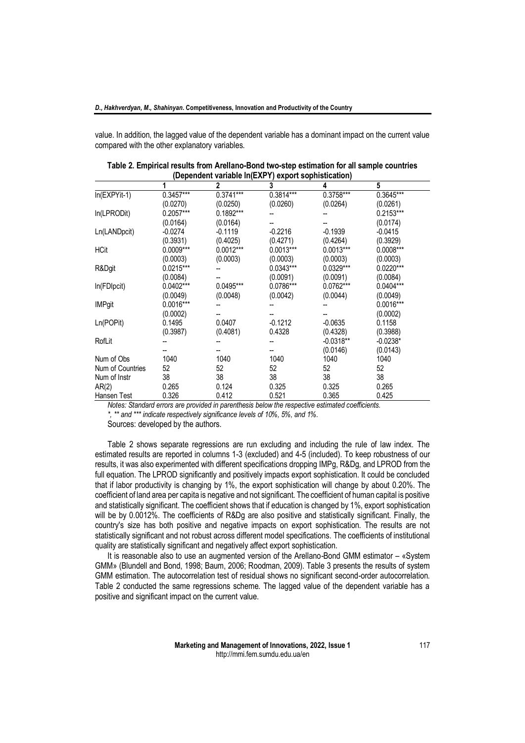value. In addition, the lagged value of the dependent variable has a dominant impact on the current value compared with the other explanatory variables.

|                                    |             | $\mathbf{2}$ | $.7$<br>3                        | 4                          | 5           |
|------------------------------------|-------------|--------------|----------------------------------|----------------------------|-------------|
| $In (EXPYit-1)$                    | $0.3457***$ | 0.3741***    | 0.3814***                        | 0.3758***                  | 0.3645***   |
|                                    | (0.0270)    | (0.0250)     | (0.0260)                         | (0.0264)                   | (0.0261)    |
| In(LPRODit)                        | 0.2057***   | 0.1892***    |                                  |                            | 0.2153***   |
|                                    | (0.0164)    | (0.0164)     |                                  |                            | (0.0174)    |
| Ln(LANDpcit)                       | $-0.0274$   | $-0.1119$    | $-0.2216$                        | $-0.1939$                  | $-0.0415$   |
|                                    | (0.3931)    | (0.4025)     | (0.4271)                         | (0.4264)                   | (0.3929)    |
| <b>HCit</b>                        | 0.0009***   | $0.0012***$  | $0.0013***$                      | $0.0013***$                | 0.0008***   |
|                                    | (0.0003)    | (0.0003)     | (0.0003)                         | (0.0003)                   | (0.0003)    |
| R&Dgit                             | 0.0215***   |              | 0.0343***                        | 0.0329***                  | $0.0220***$ |
|                                    | (0.0084)    |              | (0.0091)                         | (0.0091)                   | (0.0084)    |
| In(FDIpcit)                        | 0.0402***   | 0.0495***    | 0.0786***                        | 0.0762***                  | 0.0404***   |
|                                    | (0.0049)    | (0.0048)     | (0.0042)                         | (0.0044)                   | (0.0049)    |
| <b>IMPgit</b>                      | 0.0016***   |              |                                  |                            | 0.0016***   |
|                                    | (0.0002)    |              |                                  |                            | (0.0002)    |
| Ln(POPit)                          | 0.1495      | 0.0407       | $-0.1212$                        | $-0.0635$                  | 0.1158      |
|                                    | (0.3987)    | (0.4081)     | 0.4328                           | (0.4328)                   | (0.3988)    |
| RofLit                             |             |              |                                  | $-0.0318**$                | $-0.0238*$  |
|                                    |             |              |                                  | (0.0146)                   | (0.0143)    |
| Num of Obs                         | 1040        | 1040         | 1040                             | 1040                       | 1040        |
| Num of Countries                   | 52          | 52           | 52                               | 52                         | 52          |
| Num of Instr                       | 38          | 38           | 38                               | 38                         | 38          |
| AR(2)                              | 0.265       | 0.124        | 0.325                            | 0.325                      | 0.265       |
| Hansen Test<br>$M - L = M - L - L$ | 0.326       | 0.412        | 0.521<br>$\mathbf{A}$ .<br>$-11$ | 0.365<br>m:<br>. است 1 سال | 0.425       |

**Table 2. Empirical results from Arellano-Bond two-step estimation for all sample countries (Dependent variable ln(EXPY) export sophistication)**

*Notes: Standard errors are provided in parenthesis below the respective estimated coefficients. \*, \*\* and \*\*\* indicate respectively significance levels of 10%, 5%, and 1%.*

Sources: developed by the authors.

Table 2 shows separate regressions are run excluding and including the rule of law index. The estimated results are reported in columns 1-3 (excluded) and 4-5 (included). To keep robustness of our results, it was also experimented with different specifications dropping IMPg, R&Dg, and LPROD from the full equation. The LPROD significantly and positively impacts export sophistication. It could be concluded that if labor productivity is changing by 1%, the export sophistication will change by about 0.20%. The coefficient of land area per capita is negative and not significant. The coefficient of human capital is positive and statistically significant. The coefficient shows that if education is changed by 1%, export sophistication will be by 0.0012%. The coefficients of R&Dg are also positive and statistically significant. Finally, the country's size has both positive and negative impacts on export sophistication. The results are not statistically significant and not robust across different model specifications. The coefficients of institutional quality are statistically significant and negatively affect export sophistication.

It is reasonable also to use an augmented version of the Arellano-Bond GMM estimator – «System GMM» (Blundell and Bond, 1998; Baum, 2006; Roodman, 2009). Table 3 presents the results of system GMM estimation. The autocorrelation test of residual shows no significant second-order autocorrelation. Table 2 conducted the same regressions scheme. The lagged value of the dependent variable has a positive and significant impact on the current value.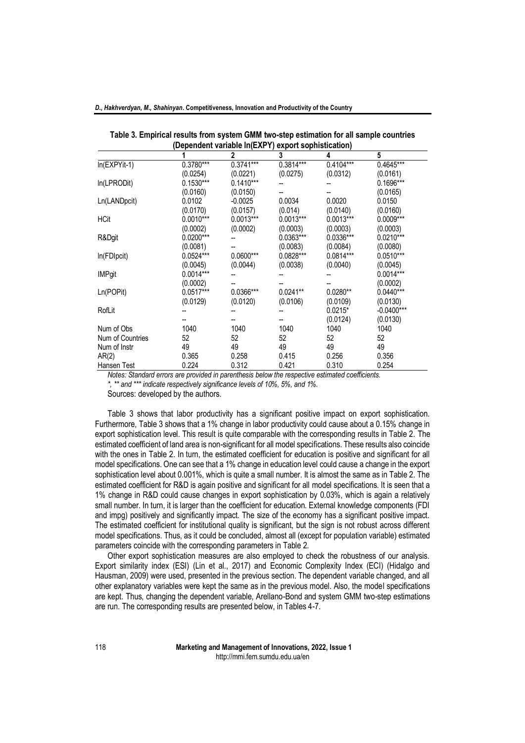| D., Hakhverdyan, M., Shahinyan. Competitiveness, Innovation and Productivity of the Country |  |
|---------------------------------------------------------------------------------------------|--|
|---------------------------------------------------------------------------------------------|--|

|                  |             | (Dependent variable In(EXPY) export sophistication) |             |             |              |
|------------------|-------------|-----------------------------------------------------|-------------|-------------|--------------|
|                  |             | 2                                                   | 3           | 4           | 5            |
| $In (EXPYit-1)$  | 0.3780***   | $0.3741***$                                         | 0.3814***   | 0.4104***   | 0.4645***    |
|                  | (0.0254)    | (0.0221)                                            | (0.0275)    | (0.0312)    | (0.0161)     |
| In(LPRODit)      | $0.1530***$ | $0.1410***$                                         |             |             | 0.1696***    |
|                  | (0.0160)    | (0.0150)                                            |             |             | (0.0165)     |
| Ln(LANDpcit)     | 0.0102      | $-0.0025$                                           | 0.0034      | 0.0020      | 0.0150       |
|                  | (0.0170)    | (0.0157)                                            | (0.014)     | (0.0140)    | (0.0160)     |
| <b>HCit</b>      | $0.0010***$ | $0.0013***$                                         | $0.0013***$ | $0.0013***$ | $0.0009***$  |
|                  | (0.0002)    | (0.0002)                                            | (0.0003)    | (0.0003)    | (0.0003)     |
| R&Dgit           | $0.0200***$ |                                                     | 0.0363***   | 0.0336***   | $0.0210***$  |
|                  | (0.0081)    |                                                     | (0.0083)    | (0.0084)    | (0.0080)     |
| In(FDIpcit)      | $0.0524***$ | $0.0600***$                                         | 0.0828***   | $0.0814***$ | $0.0510***$  |
|                  | (0.0045)    | (0.0044)                                            | (0.0038)    | (0.0040)    | (0.0045)     |
| <b>IMPgit</b>    | $0.0014***$ |                                                     |             |             | $0.0014***$  |
|                  | (0.0002)    |                                                     |             |             | (0.0002)     |
| Ln(POPit)        | 0.0517***   | 0.0366***                                           | $0.0241**$  | $0.0280**$  | $0.0440***$  |
|                  | (0.0129)    | (0.0120)                                            | (0.0106)    | (0.0109)    | (0.0130)     |
| RofLit           |             |                                                     |             | $0.0215*$   | $-0.0400***$ |
|                  |             |                                                     |             | (0.0124)    | (0.0130)     |
| Num of Obs       | 1040        | 1040                                                | 1040        | 1040        | 1040         |
| Num of Countries | 52          | 52                                                  | 52          | 52          | 52           |
| Num of Instr     | 49          | 49                                                  | 49          | 49          | 49           |
| AR(2)            | 0.365       | 0.258                                               | 0.415       | 0.256       | 0.356        |
| Hansen Test      | 0.224       | 0.312                                               | 0.421       | 0.310       | 0.254        |

| Table 3. Empirical results from system GMM two-step estimation for all sample countries |
|-----------------------------------------------------------------------------------------|
| (Dependent variable In(EXPY) export sophistication)                                     |

*Notes: Standard errors are provided in parenthesis below the respective estimated coefficients. \*, \*\* and \*\*\* indicate respectively significance levels of 10%, 5%, and 1%.*

Sources: developed by the authors.

Table 3 shows that labor productivity has a significant positive impact on export sophistication. Furthermore, Table 3 shows that a 1% change in labor productivity could cause about a 0.15% change in export sophistication level. This result is quite comparable with the corresponding results in Table 2. The estimated coefficient of land area is non-significant for all model specifications. These results also coincide with the ones in Table 2. In turn, the estimated coefficient for education is positive and significant for all model specifications. One can see that a 1% change in education level could cause a change in the export sophistication level about 0.001%, which is quite a small number. It is almost the same as in Table 2. The estimated coefficient for R&D is again positive and significant for all model specifications. It is seen that a 1% change in R&D could cause changes in export sophistication by 0.03%, which is again a relatively small number. In turn, it is larger than the coefficient for education. External knowledge components (FDI and impg) positively and significantly impact. The size of the economy has a significant positive impact. The estimated coefficient for institutional quality is significant, but the sign is not robust across different model specifications. Thus, as it could be concluded, almost all (except for population variable) estimated parameters coincide with the corresponding parameters in Table 2.

Other export sophistication measures are also employed to check the robustness of our analysis. Export similarity index (ESI) (Lin et al., 2017) and Economic Complexity Index (ECI) (Hidalgo and Hausman, 2009) were used, presented in the previous section. The dependent variable changed, and all other explanatory variables were kept the same as in the previous model. Also, the model specifications are kept. Thus, changing the dependent variable, Arellano-Bond and system GMM two-step estimations are run. The corresponding results are presented below, in Tables 4-7.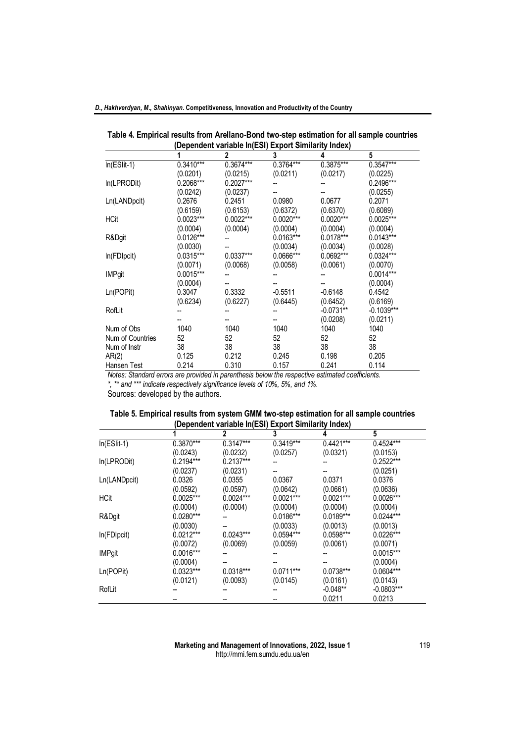|                  |             |             | (Dependent variable In(ESI) Export Similarity Index) |             |              |
|------------------|-------------|-------------|------------------------------------------------------|-------------|--------------|
|                  |             | 2           | 3                                                    | 4           | 5            |
| $In(ESlit-1)$    | $0.3410***$ | 0.3674***   | 0.3764***                                            | 0.3875***   | $0.3547***$  |
|                  | (0.0201)    | (0.0215)    | (0.0211)                                             | (0.0217)    | (0.0225)     |
| In(LPRODit)      | $0.2068***$ | $0.2027***$ |                                                      |             | 0.2496***    |
|                  | (0.0242)    | (0.0237)    |                                                      |             | (0.0255)     |
| Ln(LANDpcit)     | 0.2676      | 0.2451      | 0.0980                                               | 0.0677      | 0.2071       |
|                  | (0.6159)    | (0.6153)    | (0.6372)                                             | (0.6370)    | (0.6089)     |
| <b>HCit</b>      | $0.0023***$ | $0.0022***$ | $0.0020***$                                          | $0.0020***$ | 0.0025***    |
|                  | (0.0004)    | (0.0004)    | (0.0004)                                             | (0.0004)    | (0.0004)     |
| R&Dgit           | $0.0126***$ |             | 0.0163***                                            | $0.0178***$ | $0.0143***$  |
|                  | (0.0030)    |             | (0.0034)                                             | (0.0034)    | (0.0028)     |
| In(FDIpcit)      | 0.0315***   | 0.0337***   | 0.0666***                                            | $0.0692***$ | 0.0324***    |
|                  | (0.0071)    | (0.0068)    | (0.0058)                                             | (0.0061)    | (0.0070)     |
| <b>IMPgit</b>    | $0.0015***$ |             |                                                      |             | $0.0014***$  |
|                  | (0.0004)    |             |                                                      |             | (0.0004)     |
| Ln(POPit)        | 0.3047      | 0.3332      | $-0.5511$                                            | $-0.6148$   | 0.4542       |
|                  | (0.6234)    | (0.6227)    | (0.6445)                                             | (0.6452)    | (0.6169)     |
| RofLit           |             |             |                                                      | $-0.0731**$ | $-0.1039***$ |
|                  |             |             |                                                      | (0.0208)    | (0.0211)     |
| Num of Obs       | 1040        | 1040        | 1040                                                 | 1040        | 1040         |
| Num of Countries | 52          | 52          | 52                                                   | 52          | 52           |
| Num of Instr     | 38          | 38          | 38                                                   | 38          | 38           |
| AR(2)            | 0.125       | 0.212       | 0.245                                                | 0.198       | 0.205        |
| Hansen Test      | 0.214       | 0.310       | 0.157                                                | 0.241       | 0.114        |

**Table 4. Empirical results from Arellano-Bond two-step estimation for all sample countries**

*Notes: Standard errors are provided in parenthesis below the respective estimated coefficients. \*, \*\* and \*\*\* indicate respectively significance levels of 10%, 5%, and 1%.*

Sources: developed by the authors.

| Table 5. Empirical results from system GMM two-step estimation for all sample countries |  |
|-----------------------------------------------------------------------------------------|--|
| (Dependent variable In(ESI) Export Similarity Index)                                    |  |

|               | Dependent variable in (ESI) Export Similarity muex) |             |             |             |              |  |  |  |
|---------------|-----------------------------------------------------|-------------|-------------|-------------|--------------|--|--|--|
|               |                                                     | 2           | 3           |             | 5            |  |  |  |
| $In(ESlit-1)$ | 0.3870***                                           | $0.3147***$ | $0.3419***$ | $0.4421***$ | 0.4524***    |  |  |  |
|               | (0.0243)                                            | (0.0232)    | (0.0257)    | (0.0321)    | (0.0153)     |  |  |  |
| In(LPRODit)   | 0.2194***                                           | $0.2137***$ |             |             | $0.2522***$  |  |  |  |
|               | (0.0237)                                            | (0.0231)    |             |             | (0.0251)     |  |  |  |
| Ln(LANDpcit)  | 0.0326                                              | 0.0355      | 0.0367      | 0.0371      | 0.0376       |  |  |  |
|               | (0.0592)                                            | (0.0597)    | (0.0642)    | (0.0661)    | (0.0636)     |  |  |  |
| <b>HCit</b>   | $0.0025***$                                         | $0.0024***$ | $0.0021***$ | $0.0021***$ | $0.0026***$  |  |  |  |
|               | (0.0004)                                            | (0.0004)    | (0.0004)    | (0.0004)    | (0.0004)     |  |  |  |
| R&Dgit        | 0.0280***                                           |             | 0.0186***   | 0.0189***   | $0.0244***$  |  |  |  |
|               | (0.0030)                                            |             | (0.0033)    | (0.0013)    | (0.0013)     |  |  |  |
| In(FDIpcit)   | $0.0212***$                                         | $0.0243***$ | $0.0594***$ | $0.0598***$ | 0.0226***    |  |  |  |
|               | (0.0072)                                            | (0.0069)    | (0.0059)    | (0.0061)    | (0.0071)     |  |  |  |
| <b>IMPgit</b> | 0.0016***                                           |             |             |             | 0.0015***    |  |  |  |
|               | (0.0004)                                            |             |             |             | (0.0004)     |  |  |  |
| Ln(POPit)     | $0.0323***$                                         | $0.0318***$ | $0.0711***$ | 0.0738***   | 0.0604***    |  |  |  |
|               | (0.0121)                                            | (0.0093)    | (0.0145)    | (0.0161)    | (0.0143)     |  |  |  |
| RofLit        |                                                     |             |             | $-0.048**$  | $-0.0803***$ |  |  |  |
|               |                                                     |             |             | 0.0211      | 0.0213       |  |  |  |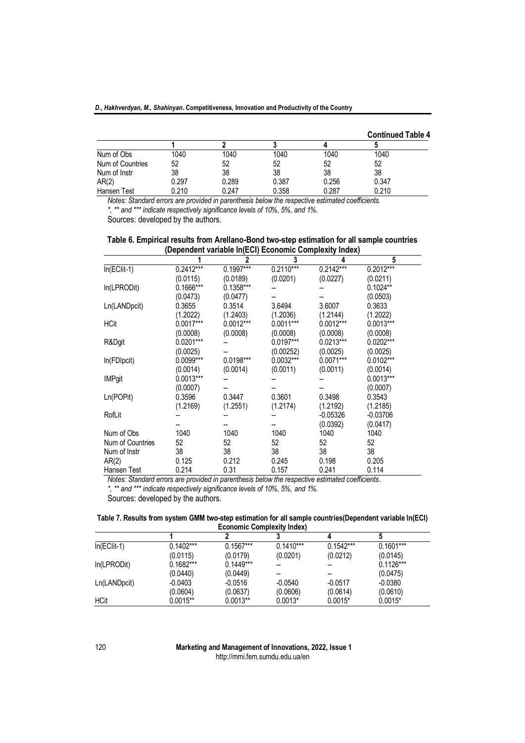*D., Hakhverdyan, M., Shahinyan***. Competitiveness, Innovation and Productivity of the Country**

|                  |       |       |       |       | <b>Continued Table 4</b> |
|------------------|-------|-------|-------|-------|--------------------------|
|                  |       |       |       |       |                          |
| Num of Obs       | 1040  | 1040  | 1040  | 1040  | 1040                     |
| Num of Countries | 52    | 52    | 52    | 52    | 52                       |
| Num of Instr     | 38    | 38    | 38    | 38    | 38                       |
| AR(2)            | 0.297 | 0.289 | 0.387 | 0.256 | 0.347                    |
| Hansen Test      | 0.210 | 0.247 | 0.358 | 0.287 | 0.210                    |

*Notes: Standard errors are provided in parenthesis below the respective estimated coefficients. \*, \*\* and \*\*\* indicate respectively significance levels of 10%, 5%, and 1%.*

Sources: developed by the authors.

**Table 6. Empirical results from Arellano-Bond two-step estimation for all sample countries (Dependent variable ln(ECI) Economic Complexity Index)**

|                  |             | $\overline{2}$ | 3                      | 4           | 5           |
|------------------|-------------|----------------|------------------------|-------------|-------------|
| $In(EClit-1)$    | $0.2412***$ | 0.1997***      | $0.21\overline{10***}$ | $0.2142***$ | $0.2012***$ |
|                  | (0.0115)    | (0.0189)       | (0.0201)               | (0.0227)    | (0.0211)    |
| In(LPRODit)      | 0.1666***   | $0.1358***$    |                        |             | $0.1024**$  |
|                  | (0.0473)    | (0.0477)       |                        |             | (0.0503)    |
| Ln(LANDpcit)     | 0.3655      | 0.3514         | 3.6494                 | 3.6007      | 0.3633      |
|                  | (1.2022)    | (1.2403)       | (1.2036)               | (1.2144)    | (1.2022)    |
| <b>HCit</b>      | $0.0017***$ | $0.0012***$    | $0.0011***$            | $0.0012***$ | $0.0013***$ |
|                  | (0.0008)    | (0.0008)       | (0.0008)               | (0.0008)    | (0.0008)    |
| R&Dgit           | $0.0201***$ |                | 0.0197***              | $0.0213***$ | $0.0202***$ |
|                  | (0.0025)    |                | (0.00252)              | (0.0025)    | (0.0025)    |
| In(FDIpcit)      | $0.0099***$ | 0.0198***      | 0.0032***              | $0.0071***$ | 0.0102***   |
|                  | (0.0014)    | (0.0014)       | (0.0011)               | (0.0011)    | (0.0014)    |
| <b>IMPgit</b>    | $0.0013***$ |                |                        |             | $0.0013***$ |
|                  | (0.0007)    |                |                        |             | (0.0007)    |
| Ln(POPit)        | 0.3596      | 0.3447         | 0.3601                 | 0.3498      | 0.3543      |
|                  | (1.2169)    | (1.2551)       | (1.2174)               | (1.2192)    | (1.2185)    |
| RofLit           |             |                |                        | $-0.05326$  | $-0.03706$  |
|                  |             |                |                        | (0.0392)    | (0.0417)    |
| Num of Obs       | 1040        | 1040           | 1040                   | 1040        | 1040        |
| Num of Countries | 52          | 52             | 52                     | 52          | 52          |
| Num of Instr     | 38          | 38             | 38                     | 38          | 38          |
| AR(2)            | 0.125       | 0.212          | 0.245                  | 0.198       | 0.205       |
| Hansen Test      | 0.214       | 0.31           | 0.157                  | 0.241       | 0.114       |

*Notes: Standard errors are provided in parenthesis below the respective estimated coefficients.*

*\*, \*\* and \*\*\* indicate respectively significance levels of 10%, 5%, and 1%.*

Sources: developed by the authors.

**Table 7. Results from system GMM two-step estimation for all sample countries(Dependent variable ln(ECI) Economic Complexity Index)**

| $In(EClit-1)$ | $0.1402***$ | $0.1567***$ | $0.1410***$ | $0.1542***$ | $0.1601***$ |
|---------------|-------------|-------------|-------------|-------------|-------------|
|               | (0.0115)    | (0.0179)    | (0.0201)    | (0.0212)    | (0.0145)    |
| In(LPRODit)   | $0.1682***$ | $0.1449***$ |             | --          | $0.1126***$ |
|               | (0.0440)    | (0.0449)    |             |             | (0.0475)    |
| Ln(LANDpcit)  | $-0.0403$   | $-0.0516$   | $-0.0540$   | $-0.0517$   | $-0.0380$   |
|               | (0.0604)    | (0.0637)    | (0.0606)    | (0.0614)    | (0.0610)    |
| HCit          | $0.0015**$  | $0.0013**$  | $0.0013*$   | $0.0015*$   | $0.0015*$   |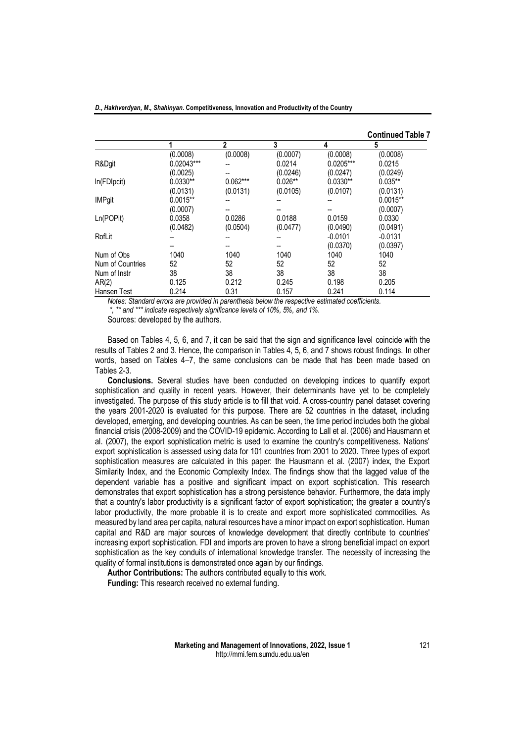| D., Hakhverdyan, M., Shahinyan. Competitiveness, Innovation and Productivity of the Country |  |
|---------------------------------------------------------------------------------------------|--|
|---------------------------------------------------------------------------------------------|--|

|                  |            |              |           |             | <b>Continued Table 7</b> |
|------------------|------------|--------------|-----------|-------------|--------------------------|
|                  |            | $\mathbf{2}$ | 3         | 4           | 5                        |
|                  | (0.0008)   | (0.0008)     | (0.0007)  | (0.0008)    | (0.0008)                 |
| R&Dgit           | 0.02043*** |              | 0.0214    | $0.0205***$ | 0.0215                   |
|                  | (0.0025)   |              | (0.0246)  | (0.0247)    | (0.0249)                 |
| In(FDIpcit)      | $0.0330**$ | $0.062***$   | $0.026**$ | $0.0330**$  | $0.035**$                |
|                  | (0.0131)   | (0.0131)     | (0.0105)  | (0.0107)    | (0.0131)                 |
| <b>IMPgit</b>    | $0.0015**$ |              |           |             | $0.0015**$               |
|                  | (0.0007)   |              |           |             | (0.0007)                 |
| Ln(POPit)        | 0.0358     | 0.0286       | 0.0188    | 0.0159      | 0.0330                   |
|                  | (0.0482)   | (0.0504)     | (0.0477)  | (0.0490)    | (0.0491)                 |
| RofLit           |            |              |           | $-0.0101$   | $-0.0131$                |
|                  |            |              |           | (0.0370)    | (0.0397)                 |
| Num of Obs       | 1040       | 1040         | 1040      | 1040        | 1040                     |
| Num of Countries | 52         | 52           | 52        | 52          | 52                       |
| Num of Instr     | 38         | 38           | 38        | 38          | 38                       |
| AR(2)            | 0.125      | 0.212        | 0.245     | 0.198       | 0.205                    |
| Hansen Test      | 0.214      | 0.31         | 0.157     | 0.241       | 0.114                    |

*Notes: Standard errors are provided in parenthesis below the respective estimated coefficients. \*, \*\* and \*\*\* indicate respectively significance levels of 10%, 5%, and 1%.*

Sources: developed by the authors.

Based on Tables 4, 5, 6, and 7, it can be said that the sign and significance level coincide with the results of Tables 2 and 3. Hence, the comparison in Tables 4, 5, 6, and 7 shows robust findings. In other words, based on Tables 4–7, the same conclusions can be made that has been made based on Tables 2-3.

**Conclusions.** Several studies have been conducted on developing indices to quantify export sophistication and quality in recent years. However, their determinants have yet to be completely investigated. The purpose of this study article is to fill that void. A cross-country panel dataset covering the years 2001-2020 is evaluated for this purpose. There are 52 countries in the dataset, including developed, emerging, and developing countries. As can be seen, the time period includes both the global financial crisis (2008-2009) and the COVID-19 epidemic. According to Lall et al. (2006) and Hausmann et al. (2007), the export sophistication metric is used to examine the country's competitiveness. Nations' export sophistication is assessed using data for 101 countries from 2001 to 2020. Three types of export sophistication measures are calculated in this paper: the Hausmann et al. (2007) index, the Export Similarity Index, and the Economic Complexity Index. The findings show that the lagged value of the dependent variable has a positive and significant impact on export sophistication. This research demonstrates that export sophistication has a strong persistence behavior. Furthermore, the data imply that a country's labor productivity is a significant factor of export sophistication; the greater a country's labor productivity, the more probable it is to create and export more sophisticated commodities. As measured by land area per capita, natural resources have a minor impact on export sophistication. Human capital and R&D are major sources of knowledge development that directly contribute to countries' increasing export sophistication. FDI and imports are proven to have a strong beneficial impact on export sophistication as the key conduits of international knowledge transfer. The necessity of increasing the quality of formal institutions is demonstrated once again by our findings.

**Author Contributions:** The authors contributed equally to this work. **Funding:** This research received no external funding.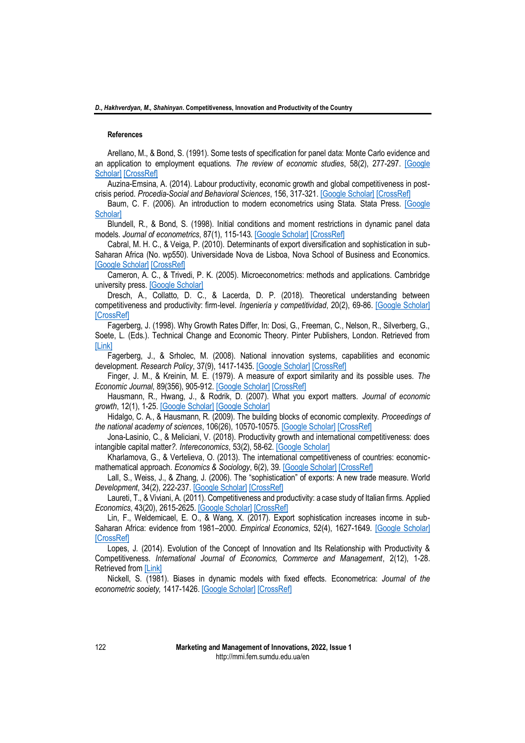### **References**

Arellano, M., & Bond, S. (1991). Some tests of specification for panel data: Monte Carlo evidence and an application to employment equations. *The review of economic studies*, 58(2), 277-297. [\[Google](https://scholar.google.com/scholar?cluster=5629017673244607219&hl=en&as_sdt=0,5)  [Scholar\]](https://scholar.google.com/scholar?cluster=5629017673244607219&hl=en&as_sdt=0,5) [\[CrossRef\]](https://doi.org/10.2307/2297968)

Auzina-Emsina, A. (2014). Labour productivity, economic growth and global competitiveness in postcrisis period. *Procedia-Social and Behavioral Sciences*, 156, 317-321[. \[Google Scholar\]](https://scholar.google.com/scholar?cluster=4838879963260088849&hl=en&as_sdt=0,5) [\[CrossRef\]](https://doi.org/10.1016/j.sbspro.2014.11.195)

Baum, C. F. (2006). An introduction to modern econometrics using Stata. Stata Press. [\[Google](https://scholar.google.com/scholar?cluster=1225829038362207892&hl=en&as_sdt=0,5)  [Scholar\]](https://scholar.google.com/scholar?cluster=1225829038362207892&hl=en&as_sdt=0,5)

Blundell, R., & Bond, S. (1998). Initial conditions and moment restrictions in dynamic panel data models. *Journal of econometrics*, 87(1), 115-143[. \[Google Scholar\]](https://scholar.google.com/scholar?cluster=4638341004604224986&hl=en&as_sdt=0,5) [\[CrossRef\]](https://doi.org/10.1016/S0304-4076(98)00009-8)

Cabral, M. H. C., & Veiga, P. (2010). Determinants of export diversification and sophistication in sub-Saharan Africa (No. wp550). Universidade Nova de Lisboa, Nova School of Business and Economics. [\[Google Scholar\]](https://scholar.google.com/scholar?cluster=12563157744586311122&hl=en&as_sdt=0,5) [\[CrossRef\]](https://dx.doi.org/10.2139/ssrn.1665116)

Cameron, A. C., & Trivedi, P. K. (2005). Microeconometrics: methods and applications. Cambridge university press. [\[Google Scholar\]](https://scholar.google.com/scholar?cluster=8717503374053397860&hl=en&as_sdt=0,5)

Dresch, A., Collatto, D. C., & Lacerda, D. P. (2018). Theoretical understanding between competitiveness and productivity: firm-level. *Ingeniería y competitividad*, 20(2), 69-86. [\[Google Scholar\]](https://scholar.google.com/scholar?cluster=2202195462869062445&hl=en&as_sdt=0,5) **[\[CrossRef\]](https://doi.org/10.25100/iyc.v20i1.5897)** 

Fagerberg, J. (1998). Why Growth Rates Differ, In: Dosi, G., Freeman, C., Nelson, R., Silverberg, G., Soete, L. (Eds.). Technical Change and Economic Theory. Pinter Publishers, London. Retrieved from [\[Link\]](https://www.jstor.org/stable/2230167)

Fagerberg, J., & Srholec, M. (2008). National innovation systems, capabilities and economic development. *Research Policy*, 37(9), 1417-1435[. \[Google Scholar\]](https://scholar.google.com/scholar?cluster=6849513561032088829&hl=en&as_sdt=0,5) [\[CrossRef\]](https://doi.org/10.1016/j.respol.2008.06.003)

Finger, J. M., & Kreinin, M. E. (1979). A measure of export similarity and its possible uses. *The Economic Journal*, 89(356), 905-912. [\[Google Scholar\]](https://scholar.google.com/scholar?cluster=13692344218733408767&hl=en&as_sdt=0,5) [\[CrossRef\]](https://doi.org/10.2307/2231506)

Hausmann, R., Hwang, J., & Rodrik, D. (2007). What you export matters. *Journal of economic growth*, 12(1), 1-25[. \[Google Scholar\]](https://scholar.google.com/scholar?cluster=17634496648379740693&hl=en&as_sdt=0,5) [\[Google Scholar\]](https://doi.org/10.1007/s10887-006-9009-4)

Hidalgo, C. A., & Hausmann, R. (2009). The building blocks of economic complexity. *Proceedings of the national academy of sciences*, 106(26), 10570-10575[. \[Google Scholar\]](https://scholar.google.com/scholar?cluster=7229353131874508074&hl=en&as_sdt=0,5) [\[CrossRef\]](https://doi.org/10.1073/pnas.0900943106)

Jona-Lasinio, C., & Meliciani, V. (2018). Productivity growth and international competitiveness: does intangible capital matter*?. Intereconomics*, 53(2), 58-62. [\[Google Scholar\]](https://scholar.google.com/scholar?cluster=8183679090955828356&hl=en&as_sdt=0,5)

Kharlamova, G., & Vertelieva, O. (2013). The international competitiveness of countries: economicmathematical approach. *Economics & Sociology*, 6(2), 39[. \[Google Scholar\]](https://scholar.google.com/scholar?cluster=13990862409298625514&hl=en&as_sdt=0,5) [\[CrossRef\]](http://dx.doi.org/10.14254/2071-789X.2013/6-2/4)

Lall, S., Weiss, J., & Zhang, J. (2006). The "sophistication" of exports: A new trade measure. World *Development*, 34(2), 222-237. [\[Google Scholar\]](https://scholar.google.com/scholar?cluster=5388626082103338465&hl=en&as_sdt=0,5) [\[CrossRef\]](https://doi.org/10.1016/j.worlddev.2005.09.002)

Laureti, T., & Viviani, A. (2011). Competitiveness and productivity: a case study of Italian firms. Applied *Economics*, 43(20), 2615-2625[. \[Google Scholar\]](https://scholar.google.com/scholar?cluster=13970986111279055264&hl=en&as_sdt=0,5) [\[CrossRef\]](https://doi.org/10.1080/00036840903357439)

Lin, F., Weldemicael, E. O., & Wang, X. (2017). Export sophistication increases income in sub-Saharan Africa: evidence from 1981–2000. *Empirical Economics*, 52(4), 1627-1649. [\[Google Scholar\]](https://scholar.google.com/scholar?cluster=5156363261623433921&hl=en&as_sdt=0,5) **[\[CrossRef\]](https://doi.org/10.1007/s00181-016-1103-7)** 

Lopes, J. (2014). Evolution of the Concept of Innovation and Its Relationship with Productivity & Competitiveness. *International Journal of Economics, Commerce and Management*, 2(12), 1-28. Retrieved from [\[Link\]](file://Users/tanyapimonenko/Downloads/%255bhttps:/www.researchgate.net/publication/271518605_EVOLUTION_OF_THE_CONCEPT_OF_INNOVATION_AND_ITS_RELATIONSHIP_WITH_PRODUCTIVITY_COMPETITIVENESS)

Nickell, S. (1981). Biases in dynamic models with fixed effects. Econometrica: *Journal of the econometric society,* 1417-1426[. \[Google Scholar\]](https://scholar.google.com/scholar?cluster=13592575728013923432&hl=en&as_sdt=0,5) [\[CrossRef\]](https://doi.org/10.2307/1911408)